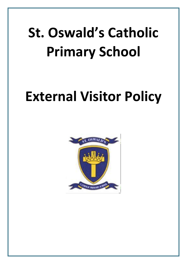# **St. Oswald's Catholic Primary School**

## **External Visitor Policy**

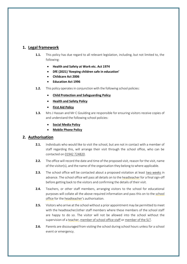#### **1. Legal framework**

- **1.1.** This policy has due regard to all relevant legislation, including, but not limited to, the following:
	- **Health and Safety at Work etc. Act 1974**
	- **DfE (2021) 'Keeping children safe in education'**
	- **Childcare Act 2006**
	- **Education Act 1996**
- **1.2.** This policy operates in conjunction with the following school policies:
	- **Child Protection and Safeguarding Policy**
	- **Health and Safety Policy**
	- **First Aid Policy**
- **1.3.** Mrs J Hassan and Mr C Goulding are responsible for ensuring visitors receive copies of and understand the following school policies:
	- **Social Media Policy**
	- **Mobile Phone Policy**

#### **2. Authorisation**

- **2.1.** Individuals who would like to visit the school, but are not in contact with a member of staff regarding this, will arrange their visit through the school office, who can be contacted on 01942 724820.
- **2.2.** The office will record the date and time of the proposed visit, reason for the visit, name of the visitor(s), and the name of the organisation they belong towhere applicable.
- **2.3.** The school office will be contacted about a proposed visitation at least two weeks in advance. The school office will pass all details on to the headteacher for a finalsign-off before getting back to the visitors and confirming the details of their visit.
- **2.4.** Teachers, or other staff members, arranging visitors to the school for educational purposes will collate all the above required information and pass this on to the school office for the headteacher's authorisation.
- **2.5.** Visitors who arrive at the school without a prior appointment may be permitted to meet with the headteacher/other staff members where these members of the school staff are happy to do so. The visitor will not be allowed into the school without the supervision of a teacher, member of school office staff or member of the SLT.
- **2.6.** Parents are discouraged from visiting the school during school hours unless for a school event or emergency.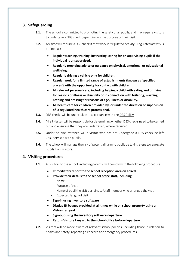#### **3. Safeguarding**

- **3.1.** The school is committed to promoting the safety of all pupils, and may require visitors to undertake a DBS check depending on the purpose of their visit.
- **3.2.** A visitor will require a DBS check if they work in 'regulated activity'. Regulated activity is defined as:
	- **Regular teaching, training, instructing, caring for or supervising pupils if the individual is unsupervised.**
	- **Regularly providing advice or guidance on physical, emotional or educational wellbeing.**
	- **Regularly driving a vehicle only for children.**
	- **Regular work for a limited range of establishments (known as 'specified places') with the opportunity for contact with children.**
	- **All relevant personal care, including helping a child with eating and drinking for reasons of illness or disability or in connection with toileting, washing, bathing and dressing for reasons of age, illness or disability.**
	- **All health care for children provided by, or under the direction or supervision of, a regulated health care professional.**
- **3.3.** DBS checks will be undertaken in accordance with the DBS Policy.
- **3.4.** MrsJ Hassanwill be responsible for determiningwhether DBS checks need to be carried out and ensuring that they are undertaken, where required.
- **3.5.** Under no circumstance will a visitor who has not undergone a DBS check be left unsupervised with pupils.
- **3.6.** The school will manage the risk of potential harm to pupils be taking steps to segregate pupils from visitors.

#### <span id="page-2-0"></span>**4. Visiting procedures**

- **4.1.** All visitors to the school, including parents, will comply with the following procedure:
	- **Immediately report to the school reception area on arrival**
	- **Provide their details to the school office staff, including:**
		- Name
		- Purpose of visit
		- Name of pupil the visit pertains to/staff member who arranged the visit
		- Expected length of visit
	- **Sign-in using inventory software**
	- **Display ID badges provided at all times while on school property using a Vistors Lanyard**
	- **Sign-out using the inventory software departure**
	- **Return Visitors Lanyard to the school office before departure**
- **4.2.** Visitors will be made aware of relevant school policies, including those in relation to health and safety, reporting a concern and emergency procedures.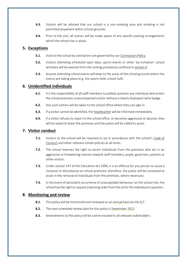- **4.3.** Visitors will be advised that our school is a non-smoking area and smoking is not permitted anywhere within school grounds.
- **4.4.** Prior to the visit, all visitors will be made aware of any specific parking arrangements which the school has in place.

#### **5. Exceptions**

- **5.1.** Visits to the school by contractors are governed by our Contractors Policy.
- **5.2.** Visitors attending scheduled open days, sports events or other 'by-invitation' school activities will be exempt from the visiting procedures outlined in [section](#page-2-0) 4.
- **5.3.** Anyone attending school events will keep to the areas of the school grounds where the events are taking place (e.g. the sports field, school hall).

#### **6. Unidentified individuals**

- **6.1.** It is the responsibility of all staff members to politely question any individual who enters the school premises unaccompanied and/or without a clearly displayed name badge.
- **6.2.** Any such visitors will be taken to the school office where they can sign-in.
- **6.3.** If a visitor cannot be identified, the headteacher will be informed immediately.
- **6.4.** If a visitor refuses to report to the school office, or becomes aggressive or abusive, they will be asked to leave the premises and the police will be called to assist.

#### **7. Visitor conduct**

- **7.1.** Visitors to the school will be required to act in accordance with the school's Code of Conduct and other relevant school policies at all times.
- **7.2.** The school reserves the right to escort individuals from the premises who act in an aggressive or threatening manner towards staff members, pupils, governors, parents or other visitors.
- **7.3.** Under section 547 of the Education Act 1996, it is an offence for any person to cause a nuisance or disturbance on school premises; therefore, the police will be contacted to assist in the removal of individuals from the premises, where necessary.
- **7.4.** In the event of persistent occurrence of unacceptable behaviour on the school site, the school has the right to request a banning order from the LA for the individual in question.

#### **8. Monitoring and review**

- **8.1.** This policy will be monitored and reviewed on an annual basis by the SLT.
- **8.2.** The next scheduled review date for this policy is September 2022.
- **8.3.** Amendments to the policy will be communicated to all relevant stakeholders.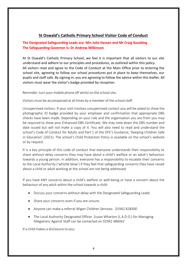### **St Oswald's Catholic Primary School Visitor Code of Conduct**

#### **The Designated Safeguarding Leads are: Mrs Julie Hassan and Mr Craig Goulding The Safeguarding Governor is: Dr Andrew Wilkinson**

At St Oswald's Catholic Primary School, we feel it is important that all visitors to our site understand and adhere to our principles and procedures, as outlined within this policy. All visitors read and agree to the Code of Conduct at the Main Office prior to entering the school site, agreeing to follow our school procedures put in place to keep themselves, our pupils and staff safe. By signing in, you are agreeing to follow the advice within this leaflet. All visitors must wear the visitor's badge provided by reception.

Reminder: turn your mobile phone off whilst on the school site.

Visitors must be accompanied at all times by a member of the schoolstaff.

Unsupervised visitors: If your visit involves unsupervised contact you will be asked to show the photographic ID badge provided by your employer and confirmation that appropriate DBS checks have been made. Depending on your role and the organisation you are from you may be required to show your Enhanced DBS Certificate. We may note down the DBS number and date issued but will not make a copy of it. You will also need to read and understand the school's Code of Conduct for Adults and Part 1 of the DFE's Guidance, 'Keeping Children Safe in Education' (2021). The school's Child Protection Policy is available on the school's website or by request.

It is a key principle of this code of conduct that everyone understands their responsibility to share without delay concerns they may have about a child's welfare or an adult's behaviour towards a young person. In addition, everyone has a responsibility to escalate their concerns to the Local Authority ('whistle blow') if they feel that safeguarding concerns they have raised about a child or adult working at the school are not being addressed.

If you have ANY concerns about a child's welfare or well-being or have a concern about the behaviour of any adult within the school towards a child:

- Discuss your concerns without delay with the Designated Safeguarding Leads
- Share your concerns even if you are unsure.
- Anyone can make a referral Wigan Children Services- 01942 828300
- The Local Authority Designated Officer, Susan Wharton (L.A.D.O.) for Managing Allegations Against Staff can be contacted on 01942 486042

If a child makes a disclosure to you: